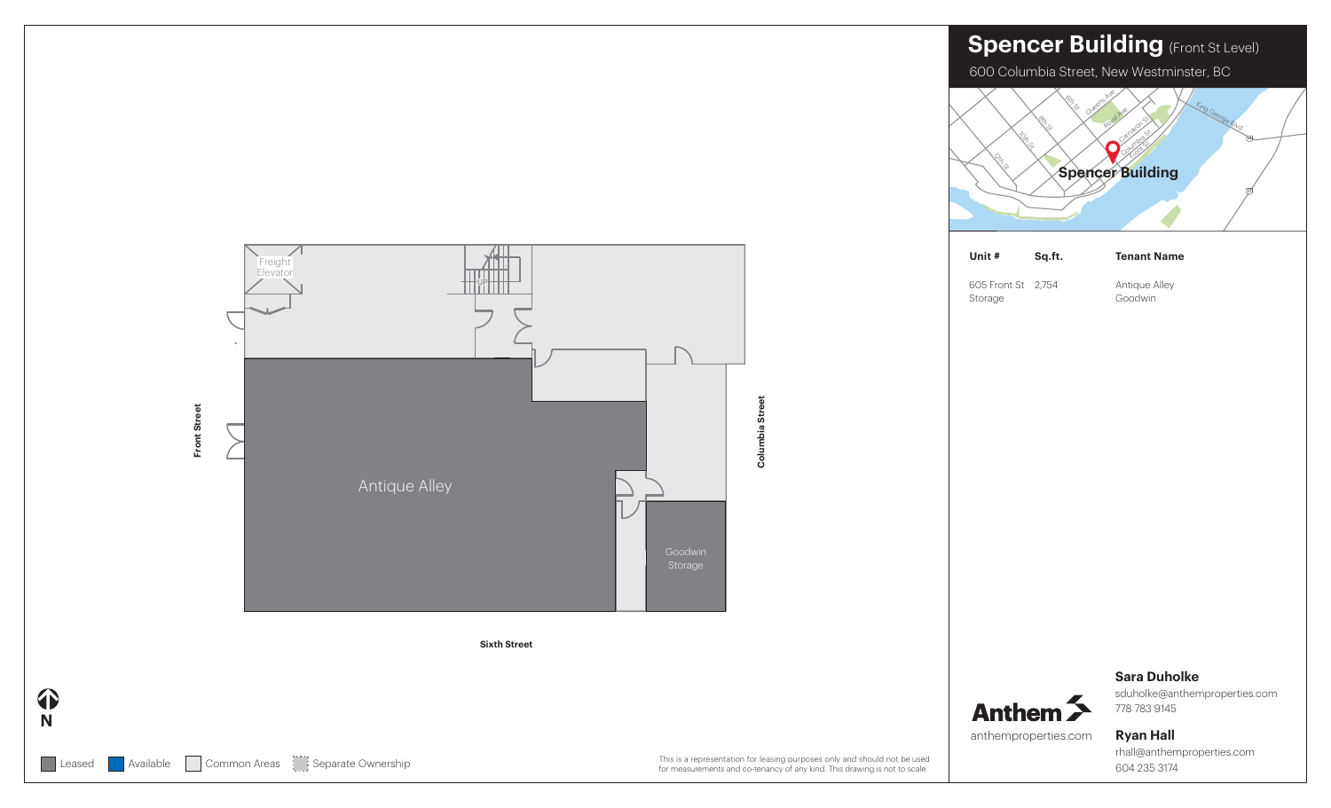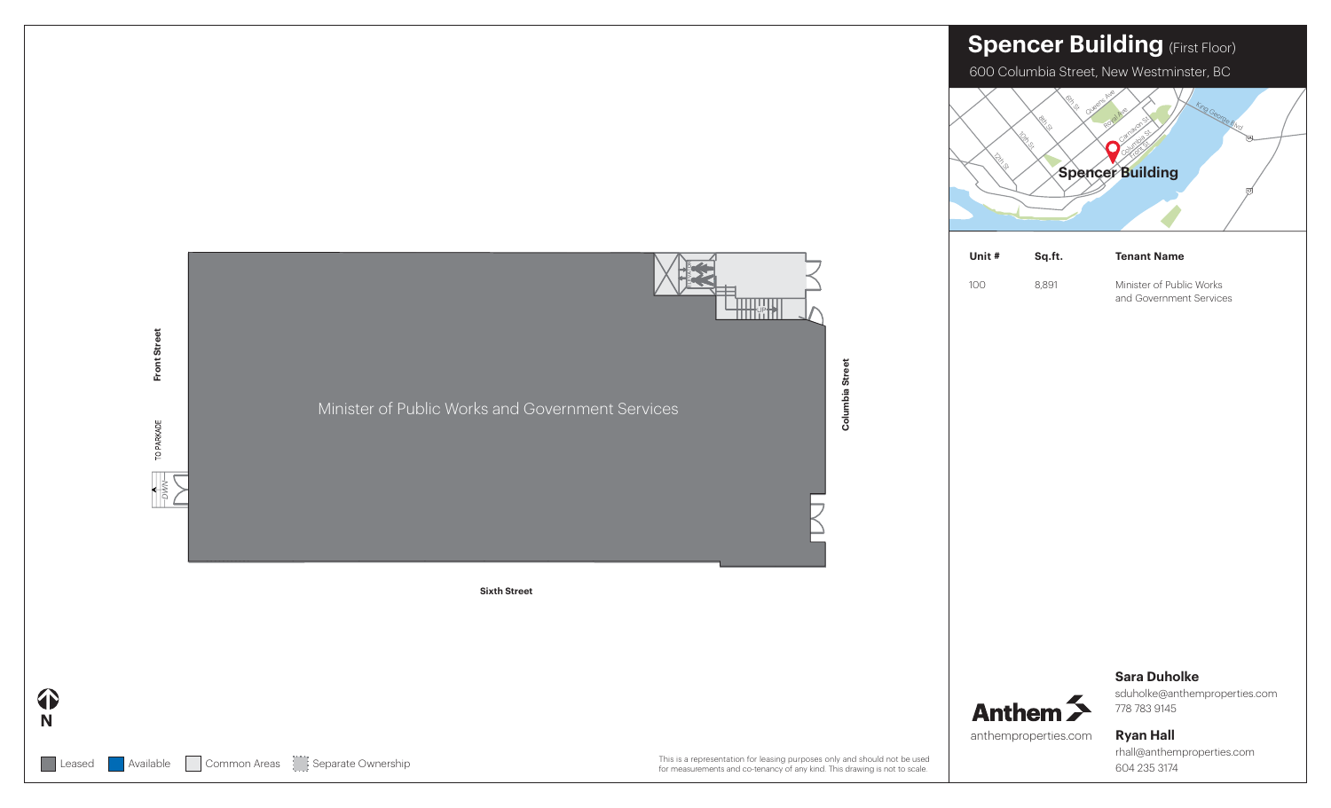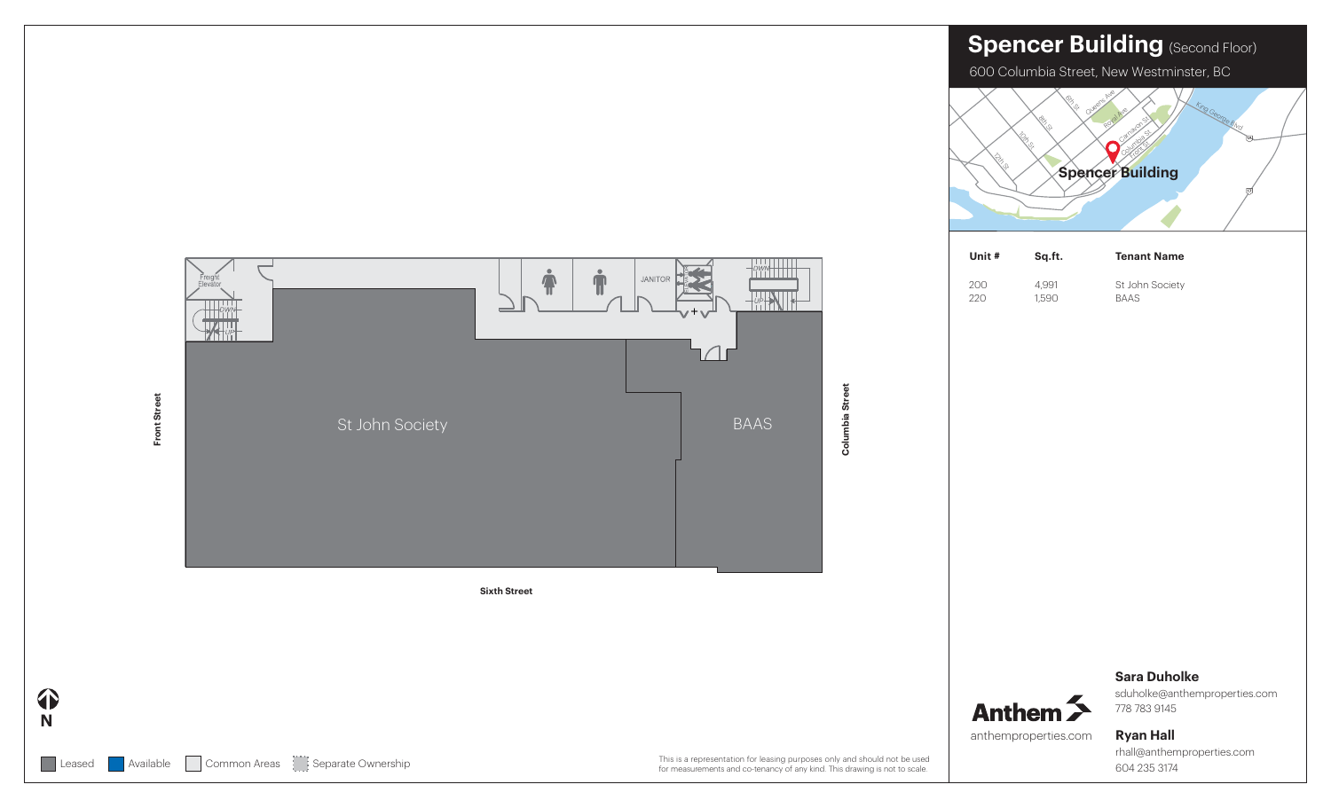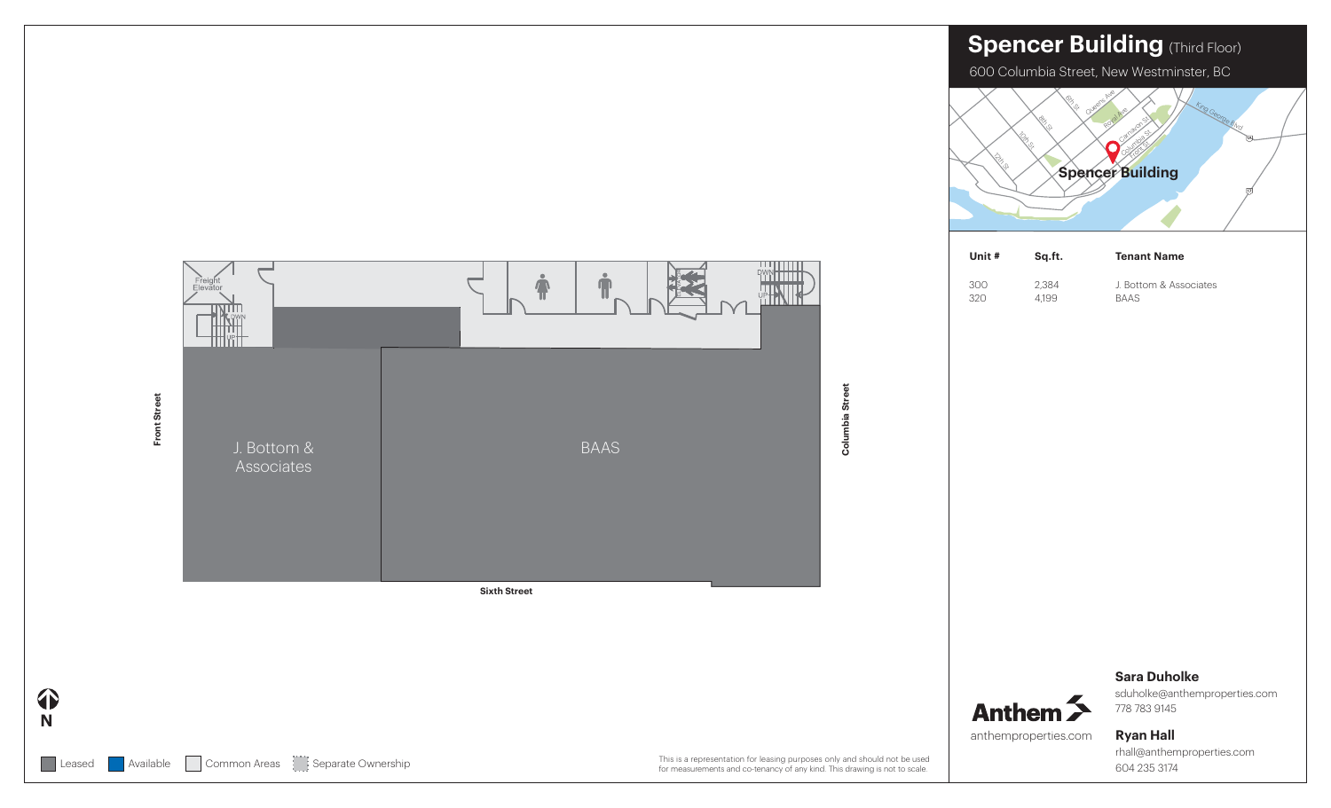